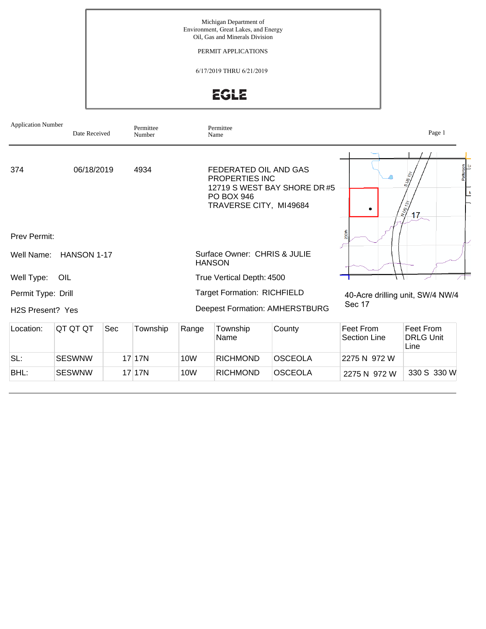Michigan Department of Environment, Great Lakes, and Energy Oil, Gas and Minerals Division

PERMIT APPLICATIONS

6/17/2019 THRU 6/21/2019

**EGLE** 

| <b>Application Number</b><br>Permittee<br>Date Received<br>Number |                    |  |          |               | Permittee<br>Name                                                                             |                                       | Page 1                                     |                                                                   |  |
|-------------------------------------------------------------------|--------------------|--|----------|---------------|-----------------------------------------------------------------------------------------------|---------------------------------------|--------------------------------------------|-------------------------------------------------------------------|--|
| 374                                                               | 06/18/2019         |  | 4934     |               | FEDERATED OIL AND GAS<br><b>PROPERTIES INC</b><br><b>PO BOX 946</b><br>TRAVERSE CITY, MI49684 | 12719 S WEST BAY SHORE DR#5           | ٠                                          | Patterson<br>E<br><b>SUS 137</b><br>$\frac{N}{2}$<br>$17_{\circ}$ |  |
| <b>Prev Permit:</b>                                               |                    |  |          |               |                                                                                               |                                       | 230th                                      |                                                                   |  |
| Well Name:                                                        | <b>HANSON 1-17</b> |  |          | <b>HANSON</b> | Surface Owner: CHRIS & JULIE                                                                  |                                       |                                            |                                                                   |  |
| Well Type:                                                        | OIL                |  |          |               | True Vertical Depth: 4500                                                                     |                                       |                                            |                                                                   |  |
| Permit Type: Drill<br>H <sub>2</sub> S Present? Yes               |                    |  |          |               | <b>Target Formation: RICHFIELD</b>                                                            | <b>Deepest Formation: AMHERSTBURG</b> | 40-Acre drilling unit, SW/4 NW/4<br>Sec 17 |                                                                   |  |
| QT QT QT<br>Location:<br>Sec<br>Township                          |                    |  |          | Range         | Township<br>Name                                                                              | County                                | Feet From<br><b>Section Line</b>           | Feet From<br><b>DRLG Unit</b><br>Line                             |  |
| SL:                                                               | <b>SESWNW</b>      |  | $17$ 17N | 10W           | <b>RICHMOND</b>                                                                               | <b>OSCEOLA</b>                        | 2275 N 972 W                               |                                                                   |  |
| BHL:                                                              | <b>SESWNW</b>      |  | 17 17N   | 10W           | <b>RICHMOND</b>                                                                               | <b>OSCEOLA</b>                        | 2275 N 972 W                               | 330 S 330 W                                                       |  |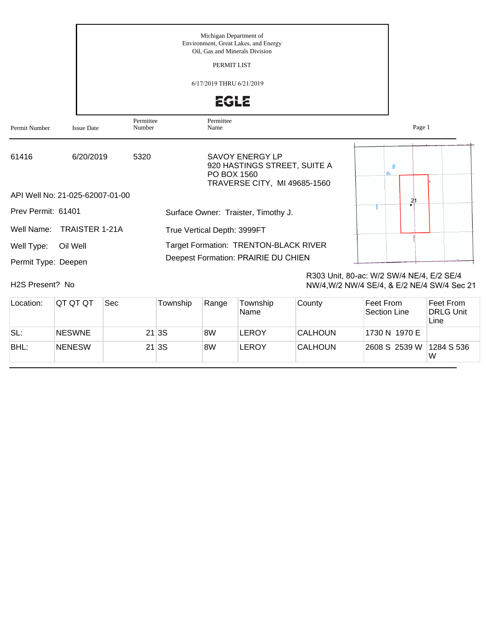|                                   |                                 | Michigan Department of<br>Environment, Great Lakes, and Energy<br>Oil, Gas and Minerals Division<br>PERMIT LIST<br>6/17/2019 THRU 6/21/2019<br><b>EGLE</b> |                                                                                                       |        |  |  |  |  |  |
|-----------------------------------|---------------------------------|------------------------------------------------------------------------------------------------------------------------------------------------------------|-------------------------------------------------------------------------------------------------------|--------|--|--|--|--|--|
| Permit Number                     | <b>Issue Date</b>               | Permittee<br>Number                                                                                                                                        | Permittee<br>Name                                                                                     | Page 1 |  |  |  |  |  |
| 61416                             | 6/20/2019                       | 5320                                                                                                                                                       | <b>SAVOY ENERGY LP</b><br>920 HASTINGS STREET, SUITE A<br>PO BOX 1560<br>TRAVERSE CITY, MI 49685-1560 |        |  |  |  |  |  |
|                                   | API Well No: 21-025-62007-01-00 |                                                                                                                                                            |                                                                                                       | 21     |  |  |  |  |  |
| Prev Permit: 61401                |                                 |                                                                                                                                                            | Surface Owner: Traister, Timothy J.                                                                   |        |  |  |  |  |  |
| Well Name:                        | <b>TRAISTER 1-21A</b>           |                                                                                                                                                            | True Vertical Depth: 3999FT                                                                           |        |  |  |  |  |  |
| Well Type:<br>Permit Type: Deepen | Oil Well                        |                                                                                                                                                            | Target Formation: TRENTON-BLACK RIVER<br>Deepest Formation: PRAIRIE DU CHIEN                          |        |  |  |  |  |  |

H2S Present? No

R303 Unit, 80-ac: W/2 SW/4 NE/4, E/2 SE/4 NW/4,W/2 NW/4 SE/4, & E/2 NE/4 SW/4 Sec 21

| Location: | IQT QT QT     | Sec | Township | Range | Township<br>Name | County         | Feet From<br>Section Line | Feet From<br><b>DRLG Unit</b><br>Line |
|-----------|---------------|-----|----------|-------|------------------|----------------|---------------------------|---------------------------------------|
| SL:       | <b>NESWNE</b> |     | 21 3S    | 8W    | <b>LEROY</b>     | <b>CALHOUN</b> | 1730 N 1970 E             |                                       |
| BHL:      | NENESW        |     | 21 3S    | 8W    | <b>LEROY</b>     | <b>CALHOUN</b> | 2608 S 2539 W             | 1284 S 536<br>W                       |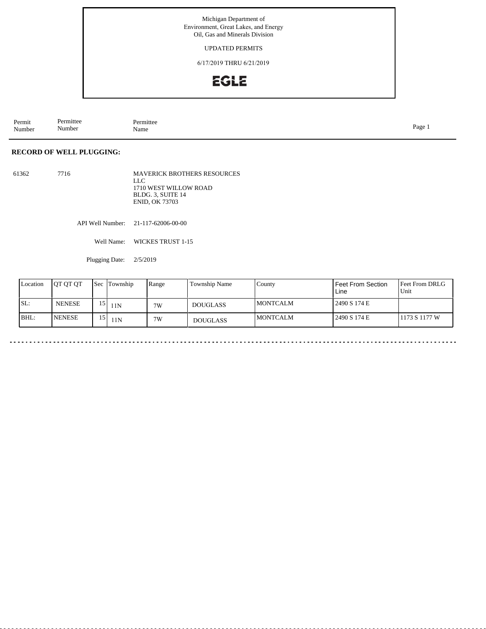Michigan Department of Environment, Great Lakes, and Energy Oil, Gas and Minerals Division

UPDATED PERMITS

6/17/2019 THRU 6/21/2019

## EGLE

Permit Number Permittee Number Permittee<br>Name Name Page 1

## **RECORD OF WELL PLUGGING:**

61362 7716 MAVERICK BROTHERS RESOURCES LLC 1710 WEST WILLOW ROAD BLDG. 3, SUITE 14 ENID, OK 73703

API Well Number: 21-117-62006-00-00

Well Name: WICKES TRUST 1-15

Plugging Date: 2/5/2019

| Location | <b>OT QT QT</b> | l Sec | Township      | Range | Township Name   | County           | Feet From Section<br>Line | Feet From DRLG<br>Unit |
|----------|-----------------|-------|---------------|-------|-----------------|------------------|---------------------------|------------------------|
| SL:      | <b>NENESE</b>   |       | $^{13}$   11N | 7W    | <b>DOUGLASS</b> | <b>IMONTCALM</b> | 2490 S 174 E              |                        |
| BHL:     | <b>NENESE</b>   |       | 11N           | 7W    | <b>DOUGLASS</b> | <b>IMONTCALM</b> | 2490 S 174 E              | 1173 S 1177 W          |